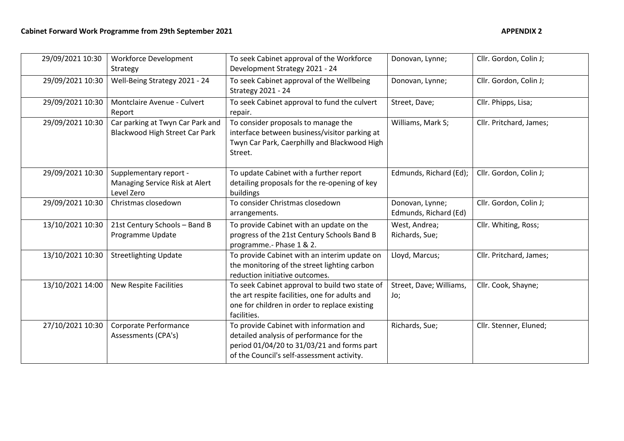| 29/09/2021 10:30 | <b>Workforce Development</b><br>Strategy                               | To seek Cabinet approval of the Workforce<br>Development Strategy 2021 - 24                                                                                                     | Donovan, Lynne;                          | Cllr. Gordon, Colin J;  |
|------------------|------------------------------------------------------------------------|---------------------------------------------------------------------------------------------------------------------------------------------------------------------------------|------------------------------------------|-------------------------|
| 29/09/2021 10:30 | Well-Being Strategy 2021 - 24                                          | To seek Cabinet approval of the Wellbeing<br><b>Strategy 2021 - 24</b>                                                                                                          | Donovan, Lynne;                          | Cllr. Gordon, Colin J;  |
| 29/09/2021 10:30 | Montclaire Avenue - Culvert<br>Report                                  | To seek Cabinet approval to fund the culvert<br>repair.                                                                                                                         | Street, Dave;                            | Cllr. Phipps, Lisa;     |
| 29/09/2021 10:30 | Car parking at Twyn Car Park and<br>Blackwood High Street Car Park     | To consider proposals to manage the<br>interface between business/visitor parking at<br>Twyn Car Park, Caerphilly and Blackwood High<br>Street.                                 | Williams, Mark S;                        | Cllr. Pritchard, James; |
| 29/09/2021 10:30 | Supplementary report -<br>Managing Service Risk at Alert<br>Level Zero | To update Cabinet with a further report<br>detailing proposals for the re-opening of key<br>buildings                                                                           | Edmunds, Richard (Ed);                   | Cllr. Gordon, Colin J;  |
| 29/09/2021 10:30 | Christmas closedown                                                    | To consider Christmas closedown<br>arrangements.                                                                                                                                | Donovan, Lynne;<br>Edmunds, Richard (Ed) | Cllr. Gordon, Colin J;  |
| 13/10/2021 10:30 | 21st Century Schools - Band B<br>Programme Update                      | To provide Cabinet with an update on the<br>progress of the 21st Century Schools Band B<br>programme.- Phase 1 & 2.                                                             | West, Andrea;<br>Richards, Sue;          | Cllr. Whiting, Ross;    |
| 13/10/2021 10:30 | <b>Streetlighting Update</b>                                           | To provide Cabinet with an interim update on<br>the monitoring of the street lighting carbon<br>reduction initiative outcomes.                                                  | Lloyd, Marcus;                           | Cllr. Pritchard, James; |
| 13/10/2021 14:00 | New Respite Facilities                                                 | To seek Cabinet approval to build two state of<br>the art respite facilities, one for adults and<br>one for children in order to replace existing<br>facilities.                | Street, Dave; Williams,<br>Jo;           | Cllr. Cook, Shayne;     |
| 27/10/2021 10:30 | Corporate Performance<br>Assessments (CPA's)                           | To provide Cabinet with information and<br>detailed analysis of performance for the<br>period 01/04/20 to 31/03/21 and forms part<br>of the Council's self-assessment activity. | Richards, Sue;                           | Cllr. Stenner, Eluned;  |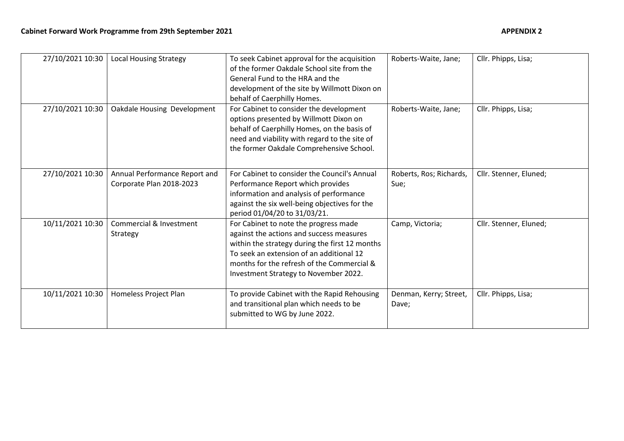| 27/10/2021 10:30 | <b>Local Housing Strategy</b>                             | To seek Cabinet approval for the acquisition<br>of the former Oakdale School site from the<br>General Fund to the HRA and the<br>development of the site by Willmott Dixon on<br>behalf of Caerphilly Homes.                                                           | Roberts-Waite, Jane;            | Cllr. Phipps, Lisa;    |
|------------------|-----------------------------------------------------------|------------------------------------------------------------------------------------------------------------------------------------------------------------------------------------------------------------------------------------------------------------------------|---------------------------------|------------------------|
| 27/10/2021 10:30 | Oakdale Housing Development                               | For Cabinet to consider the development<br>options presented by Willmott Dixon on<br>behalf of Caerphilly Homes, on the basis of<br>need and viability with regard to the site of<br>the former Oakdale Comprehensive School.                                          | Roberts-Waite, Jane;            | Cllr. Phipps, Lisa;    |
| 27/10/2021 10:30 | Annual Performance Report and<br>Corporate Plan 2018-2023 | For Cabinet to consider the Council's Annual<br>Performance Report which provides<br>information and analysis of performance<br>against the six well-being objectives for the<br>period 01/04/20 to 31/03/21.                                                          | Roberts, Ros; Richards,<br>Sue; | Cllr. Stenner, Eluned; |
| 10/11/2021 10:30 | Commercial & Investment<br>Strategy                       | For Cabinet to note the progress made<br>against the actions and success measures<br>within the strategy during the first 12 months<br>To seek an extension of an additional 12<br>months for the refresh of the Commercial &<br>Investment Strategy to November 2022. | Camp, Victoria;                 | Cllr. Stenner, Eluned; |
| 10/11/2021 10:30 | Homeless Project Plan                                     | To provide Cabinet with the Rapid Rehousing<br>and transitional plan which needs to be<br>submitted to WG by June 2022.                                                                                                                                                | Denman, Kerry; Street,<br>Dave; | Cllr. Phipps, Lisa;    |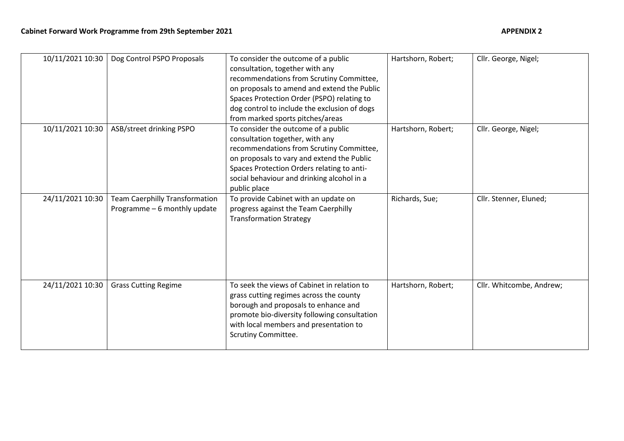| 10/11/2021 10:30 | Dog Control PSPO Proposals                                            | To consider the outcome of a public<br>consultation, together with any<br>recommendations from Scrutiny Committee,<br>on proposals to amend and extend the Public<br>Spaces Protection Order (PSPO) relating to<br>dog control to include the exclusion of dogs<br>from marked sports pitches/areas | Hartshorn, Robert; | Cllr. George, Nigel;     |
|------------------|-----------------------------------------------------------------------|-----------------------------------------------------------------------------------------------------------------------------------------------------------------------------------------------------------------------------------------------------------------------------------------------------|--------------------|--------------------------|
| 10/11/2021 10:30 | ASB/street drinking PSPO                                              | To consider the outcome of a public<br>consultation together, with any<br>recommendations from Scrutiny Committee,<br>on proposals to vary and extend the Public<br>Spaces Protection Orders relating to anti-<br>social behaviour and drinking alcohol in a<br>public place                        | Hartshorn, Robert; | Cllr. George, Nigel;     |
| 24/11/2021 10:30 | <b>Team Caerphilly Transformation</b><br>Programme - 6 monthly update | To provide Cabinet with an update on<br>progress against the Team Caerphilly<br><b>Transformation Strategy</b>                                                                                                                                                                                      | Richards, Sue;     | Cllr. Stenner, Eluned;   |
| 24/11/2021 10:30 | <b>Grass Cutting Regime</b>                                           | To seek the views of Cabinet in relation to<br>grass cutting regimes across the county<br>borough and proposals to enhance and<br>promote bio-diversity following consultation<br>with local members and presentation to<br><b>Scrutiny Committee.</b>                                              | Hartshorn, Robert; | Cllr. Whitcombe, Andrew; |